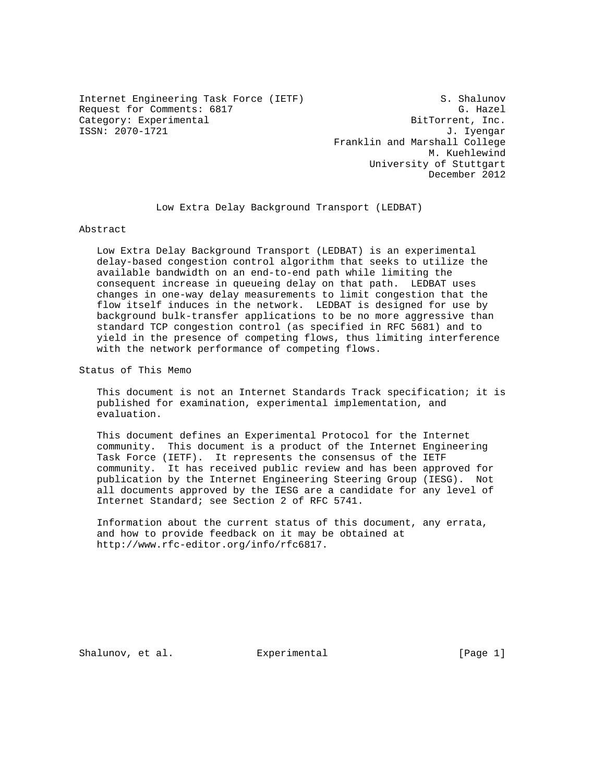Internet Engineering Task Force (IETF) S. Shalunov Request for Comments: 6817 G. Hazel Category: Experimental and BitTorrent, Inc. ISSN: 2070-1721 J. Iyengar

 Franklin and Marshall College M. Kuehlewind University of Stuttgart December 2012

Low Extra Delay Background Transport (LEDBAT)

Abstract

 Low Extra Delay Background Transport (LEDBAT) is an experimental delay-based congestion control algorithm that seeks to utilize the available bandwidth on an end-to-end path while limiting the consequent increase in queueing delay on that path. LEDBAT uses changes in one-way delay measurements to limit congestion that the flow itself induces in the network. LEDBAT is designed for use by background bulk-transfer applications to be no more aggressive than standard TCP congestion control (as specified in RFC 5681) and to yield in the presence of competing flows, thus limiting interference with the network performance of competing flows.

Status of This Memo

 This document is not an Internet Standards Track specification; it is published for examination, experimental implementation, and evaluation.

 This document defines an Experimental Protocol for the Internet community. This document is a product of the Internet Engineering Task Force (IETF). It represents the consensus of the IETF community. It has received public review and has been approved for publication by the Internet Engineering Steering Group (IESG). Not all documents approved by the IESG are a candidate for any level of Internet Standard; see Section 2 of RFC 5741.

 Information about the current status of this document, any errata, and how to provide feedback on it may be obtained at http://www.rfc-editor.org/info/rfc6817.

Shalunov, et al.  $\Box$  Experimental  $\Box$  [Page 1]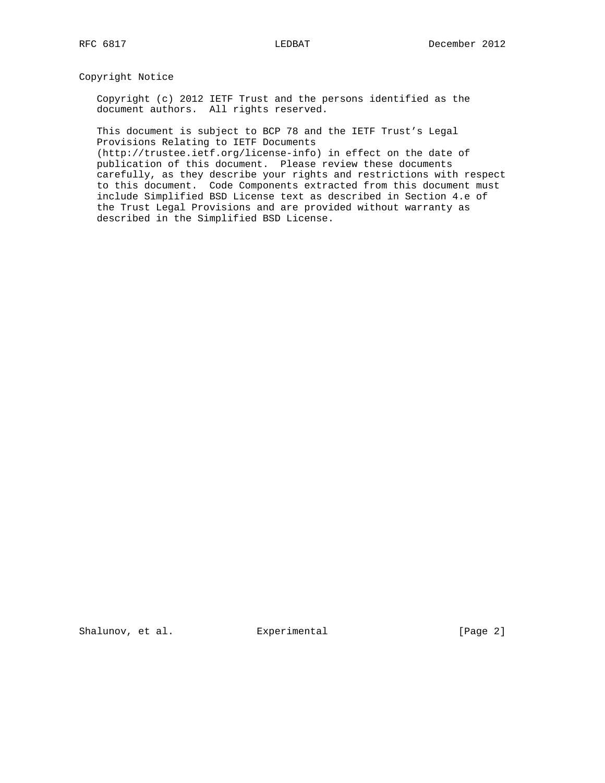# Copyright Notice

 Copyright (c) 2012 IETF Trust and the persons identified as the document authors. All rights reserved.

 This document is subject to BCP 78 and the IETF Trust's Legal Provisions Relating to IETF Documents

 (http://trustee.ietf.org/license-info) in effect on the date of publication of this document. Please review these documents carefully, as they describe your rights and restrictions with respect to this document. Code Components extracted from this document must include Simplified BSD License text as described in Section 4.e of the Trust Legal Provisions and are provided without warranty as described in the Simplified BSD License.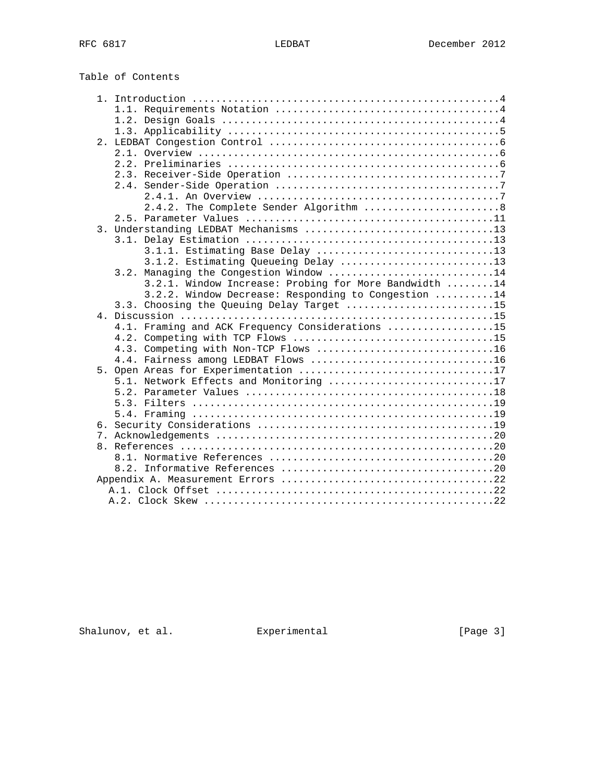Table of Contents

|                  | 2.4.2. The Complete Sender Algorithm  8               |
|------------------|-------------------------------------------------------|
|                  |                                                       |
| $\overline{3}$ . | Understanding LEDBAT Mechanisms 13                    |
|                  |                                                       |
|                  | 3.1.1. Estimating Base Delay 13                       |
|                  | 3.1.2. Estimating Queueing Delay 13                   |
|                  | 3.2. Managing the Congestion Window 14                |
|                  | 3.2.1. Window Increase: Probing for More Bandwidth 14 |
|                  | 3.2.2. Window Decrease: Responding to Congestion 14   |
|                  | 3.3. Choosing the Queuing Delay Target 15             |
|                  |                                                       |
|                  | 4.1. Framing and ACK Frequency Considerations 15      |
|                  |                                                       |
|                  | 4.3. Competing with Non-TCP Flows 16                  |
|                  | 4.4. Fairness among LEDBAT Flows 16                   |
|                  |                                                       |
|                  | 5.1. Network Effects and Monitoring 17                |
|                  |                                                       |
|                  |                                                       |
|                  |                                                       |
|                  |                                                       |
|                  |                                                       |
|                  |                                                       |
|                  |                                                       |
|                  |                                                       |
|                  |                                                       |
|                  |                                                       |
|                  |                                                       |
|                  |                                                       |

Shalunov, et al. Experimental [Page 3]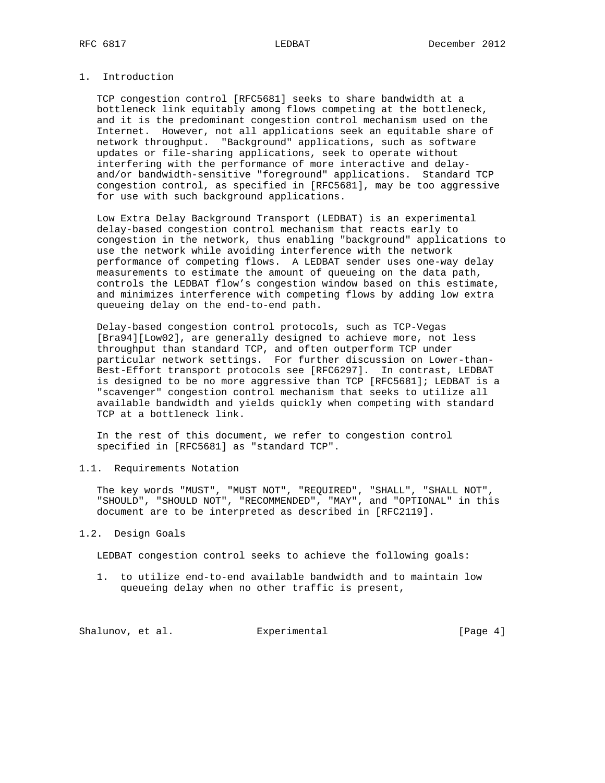# 1. Introduction

 TCP congestion control [RFC5681] seeks to share bandwidth at a bottleneck link equitably among flows competing at the bottleneck, and it is the predominant congestion control mechanism used on the Internet. However, not all applications seek an equitable share of network throughput. "Background" applications, such as software updates or file-sharing applications, seek to operate without interfering with the performance of more interactive and delay and/or bandwidth-sensitive "foreground" applications. Standard TCP congestion control, as specified in [RFC5681], may be too aggressive for use with such background applications.

 Low Extra Delay Background Transport (LEDBAT) is an experimental delay-based congestion control mechanism that reacts early to congestion in the network, thus enabling "background" applications to use the network while avoiding interference with the network performance of competing flows. A LEDBAT sender uses one-way delay measurements to estimate the amount of queueing on the data path, controls the LEDBAT flow's congestion window based on this estimate, and minimizes interference with competing flows by adding low extra queueing delay on the end-to-end path.

 Delay-based congestion control protocols, such as TCP-Vegas [Bra94][Low02], are generally designed to achieve more, not less throughput than standard TCP, and often outperform TCP under particular network settings. For further discussion on Lower-than- Best-Effort transport protocols see [RFC6297]. In contrast, LEDBAT is designed to be no more aggressive than TCP [RFC5681]; LEDBAT is a "scavenger" congestion control mechanism that seeks to utilize all available bandwidth and yields quickly when competing with standard TCP at a bottleneck link.

 In the rest of this document, we refer to congestion control specified in [RFC5681] as "standard TCP".

1.1. Requirements Notation

 The key words "MUST", "MUST NOT", "REQUIRED", "SHALL", "SHALL NOT", "SHOULD", "SHOULD NOT", "RECOMMENDED", "MAY", and "OPTIONAL" in this document are to be interpreted as described in [RFC2119].

#### 1.2. Design Goals

LEDBAT congestion control seeks to achieve the following goals:

 1. to utilize end-to-end available bandwidth and to maintain low queueing delay when no other traffic is present,

Shalunov, et al. Experimental Formula (Page 4)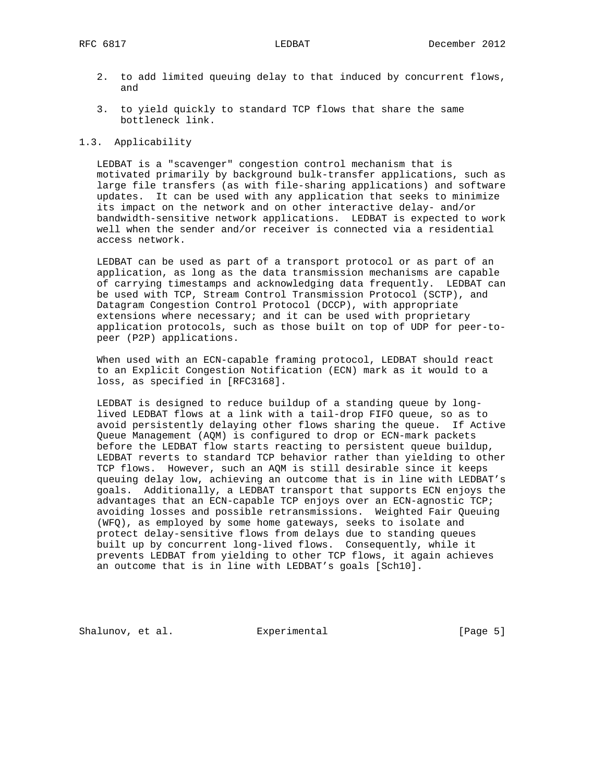- 2. to add limited queuing delay to that induced by concurrent flows, and
- 3. to yield quickly to standard TCP flows that share the same bottleneck link.

# 1.3. Applicability

 LEDBAT is a "scavenger" congestion control mechanism that is motivated primarily by background bulk-transfer applications, such as large file transfers (as with file-sharing applications) and software updates. It can be used with any application that seeks to minimize its impact on the network and on other interactive delay- and/or bandwidth-sensitive network applications. LEDBAT is expected to work well when the sender and/or receiver is connected via a residential access network.

 LEDBAT can be used as part of a transport protocol or as part of an application, as long as the data transmission mechanisms are capable of carrying timestamps and acknowledging data frequently. LEDBAT can be used with TCP, Stream Control Transmission Protocol (SCTP), and Datagram Congestion Control Protocol (DCCP), with appropriate extensions where necessary; and it can be used with proprietary application protocols, such as those built on top of UDP for peer-to peer (P2P) applications.

 When used with an ECN-capable framing protocol, LEDBAT should react to an Explicit Congestion Notification (ECN) mark as it would to a loss, as specified in [RFC3168].

 LEDBAT is designed to reduce buildup of a standing queue by long lived LEDBAT flows at a link with a tail-drop FIFO queue, so as to avoid persistently delaying other flows sharing the queue. If Active Queue Management (AQM) is configured to drop or ECN-mark packets before the LEDBAT flow starts reacting to persistent queue buildup, LEDBAT reverts to standard TCP behavior rather than yielding to other TCP flows. However, such an AQM is still desirable since it keeps queuing delay low, achieving an outcome that is in line with LEDBAT's goals. Additionally, a LEDBAT transport that supports ECN enjoys the advantages that an ECN-capable TCP enjoys over an ECN-agnostic TCP; avoiding losses and possible retransmissions. Weighted Fair Queuing (WFQ), as employed by some home gateways, seeks to isolate and protect delay-sensitive flows from delays due to standing queues built up by concurrent long-lived flows. Consequently, while it prevents LEDBAT from yielding to other TCP flows, it again achieves an outcome that is in line with LEDBAT's goals [Sch10].

Shalunov, et al. Experimental Formular (Page 5)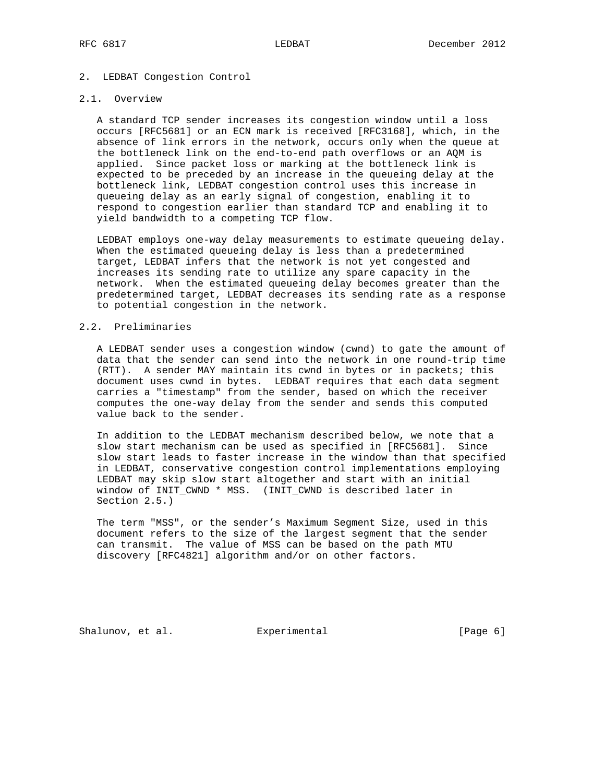# 2. LEDBAT Congestion Control

# 2.1. Overview

 A standard TCP sender increases its congestion window until a loss occurs [RFC5681] or an ECN mark is received [RFC3168], which, in the absence of link errors in the network, occurs only when the queue at the bottleneck link on the end-to-end path overflows or an AQM is applied. Since packet loss or marking at the bottleneck link is expected to be preceded by an increase in the queueing delay at the bottleneck link, LEDBAT congestion control uses this increase in queueing delay as an early signal of congestion, enabling it to respond to congestion earlier than standard TCP and enabling it to yield bandwidth to a competing TCP flow.

 LEDBAT employs one-way delay measurements to estimate queueing delay. When the estimated queueing delay is less than a predetermined target, LEDBAT infers that the network is not yet congested and increases its sending rate to utilize any spare capacity in the network. When the estimated queueing delay becomes greater than the predetermined target, LEDBAT decreases its sending rate as a response to potential congestion in the network.

### 2.2. Preliminaries

 A LEDBAT sender uses a congestion window (cwnd) to gate the amount of data that the sender can send into the network in one round-trip time (RTT). A sender MAY maintain its cwnd in bytes or in packets; this document uses cwnd in bytes. LEDBAT requires that each data segment carries a "timestamp" from the sender, based on which the receiver computes the one-way delay from the sender and sends this computed value back to the sender.

 In addition to the LEDBAT mechanism described below, we note that a slow start mechanism can be used as specified in [RFC5681]. Since slow start leads to faster increase in the window than that specified in LEDBAT, conservative congestion control implementations employing LEDBAT may skip slow start altogether and start with an initial window of INIT\_CWND \* MSS. (INIT\_CWND is described later in Section 2.5.)

 The term "MSS", or the sender's Maximum Segment Size, used in this document refers to the size of the largest segment that the sender can transmit. The value of MSS can be based on the path MTU discovery [RFC4821] algorithm and/or on other factors.

Shalunov, et al. **Experimental** [Page 6]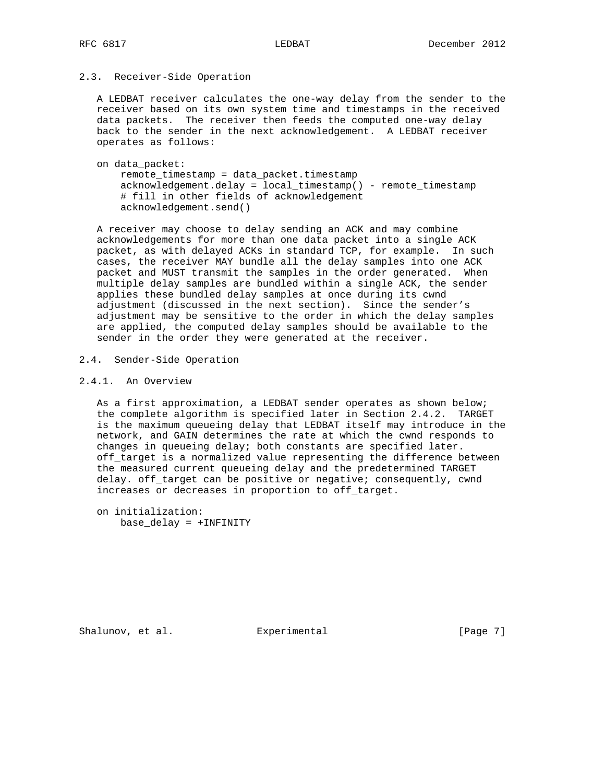# 2.3. Receiver-Side Operation

 A LEDBAT receiver calculates the one-way delay from the sender to the receiver based on its own system time and timestamps in the received data packets. The receiver then feeds the computed one-way delay back to the sender in the next acknowledgement. A LEDBAT receiver operates as follows:

 on data\_packet: remote\_timestamp = data\_packet.timestamp acknowledgement.delay = local\_timestamp() - remote\_timestamp # fill in other fields of acknowledgement acknowledgement.send()

 A receiver may choose to delay sending an ACK and may combine acknowledgements for more than one data packet into a single ACK packet, as with delayed ACKs in standard TCP, for example. In such cases, the receiver MAY bundle all the delay samples into one ACK packet and MUST transmit the samples in the order generated. When multiple delay samples are bundled within a single ACK, the sender applies these bundled delay samples at once during its cwnd adjustment (discussed in the next section). Since the sender's adjustment may be sensitive to the order in which the delay samples are applied, the computed delay samples should be available to the sender in the order they were generated at the receiver.

# 2.4. Sender-Side Operation

# 2.4.1. An Overview

 As a first approximation, a LEDBAT sender operates as shown below; the complete algorithm is specified later in Section 2.4.2. TARGET is the maximum queueing delay that LEDBAT itself may introduce in the network, and GAIN determines the rate at which the cwnd responds to changes in queueing delay; both constants are specified later. off\_target is a normalized value representing the difference between the measured current queueing delay and the predetermined TARGET delay. off\_target can be positive or negative; consequently, cwnd increases or decreases in proportion to off\_target.

 on initialization: base\_delay = +INFINITY

Shalunov, et al. Experimental Formular (Page 7)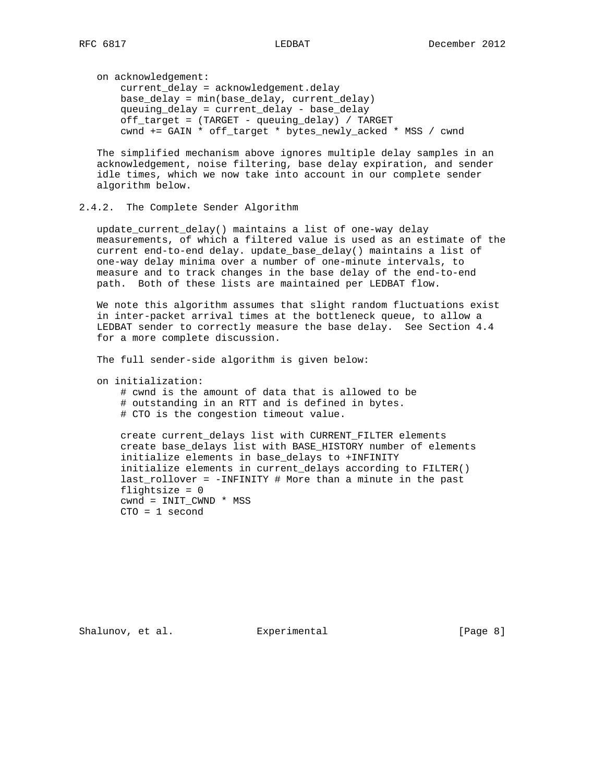on acknowledgement:

 current\_delay = acknowledgement.delay base\_delay = min(base\_delay, current\_delay) queuing\_delay = current\_delay - base\_delay off\_target = (TARGET - queuing\_delay) / TARGET cwnd += GAIN \* off\_target \* bytes\_newly\_acked \* MSS / cwnd

 The simplified mechanism above ignores multiple delay samples in an acknowledgement, noise filtering, base delay expiration, and sender idle times, which we now take into account in our complete sender algorithm below.

# 2.4.2. The Complete Sender Algorithm

 update\_current\_delay() maintains a list of one-way delay measurements, of which a filtered value is used as an estimate of the current end-to-end delay. update\_base\_delay() maintains a list of one-way delay minima over a number of one-minute intervals, to measure and to track changes in the base delay of the end-to-end path. Both of these lists are maintained per LEDBAT flow.

 We note this algorithm assumes that slight random fluctuations exist in inter-packet arrival times at the bottleneck queue, to allow a LEDBAT sender to correctly measure the base delay. See Section 4.4 for a more complete discussion.

The full sender-side algorithm is given below:

on initialization:

 # cwnd is the amount of data that is allowed to be # outstanding in an RTT and is defined in bytes. # CTO is the congestion timeout value.

 create current\_delays list with CURRENT\_FILTER elements create base\_delays list with BASE\_HISTORY number of elements initialize elements in base\_delays to +INFINITY initialize elements in current\_delays according to FILTER() last\_rollover = -INFINITY # More than a minute in the past flightsize  $= 0$  cwnd = INIT\_CWND \* MSS CTO = 1 second

Shalunov, et al. Experimental Formula (Page 8)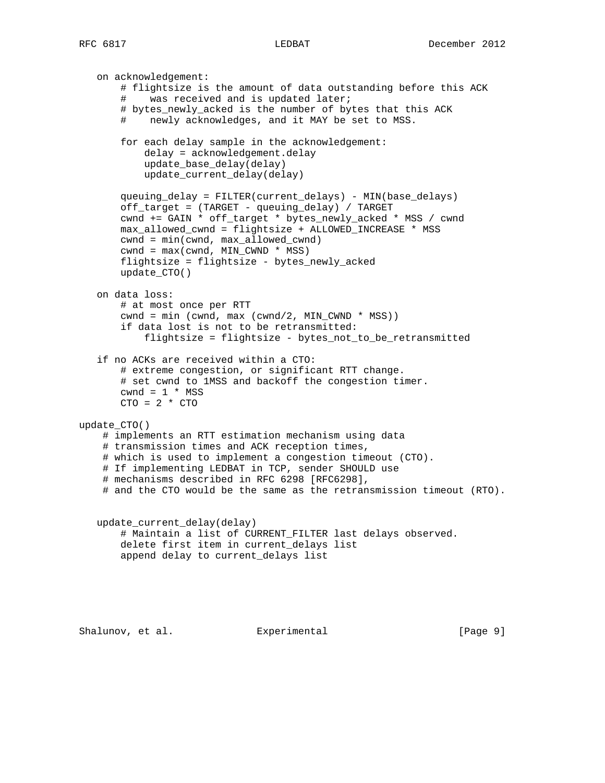on acknowledgement: # flightsize is the amount of data outstanding before this ACK # was received and is updated later; # bytes newly acked is the number of bytes that this ACK # newly acknowledges, and it MAY be set to MSS. for each delay sample in the acknowledgement: delay = acknowledgement.delay update\_base\_delay(delay) update\_current\_delay(delay) queuing\_delay = FILTER(current\_delays) - MIN(base\_delays) off\_target = (TARGET - queuing\_delay) / TARGET cwnd += GAIN \* off\_target \* bytes\_newly\_acked \* MSS / cwnd max\_allowed\_cwnd = flightsize + ALLOWED\_INCREASE \* MSS cwnd = min(cwnd, max\_allowed\_cwnd) cwnd = max(cwnd, MIN\_CWND \* MSS) flightsize = flightsize - bytes\_newly\_acked update\_CTO() on data loss: # at most once per RTT  $cwnd = min (cwnd, max (cwnd/2, MIN_CWND * MSS))$  if data lost is not to be retransmitted: flightsize = flightsize - bytes\_not\_to\_be\_retransmitted if no ACKs are received within a CTO: # extreme congestion, or significant RTT change. # set cwnd to 1MSS and backoff the congestion timer.  $cwnd = 1 * MSS$  $CTO = 2 * CTO$ update\_CTO() # implements an RTT estimation mechanism using data # transmission times and ACK reception times, # which is used to implement a congestion timeout (CTO). # If implementing LEDBAT in TCP, sender SHOULD use # mechanisms described in RFC 6298 [RFC6298], # and the CTO would be the same as the retransmission timeout (RTO). update\_current\_delay(delay) # Maintain a list of CURRENT\_FILTER last delays observed. delete first item in current\_delays list append delay to current\_delays list

Shalunov, et al.  $\qquad \qquad$  Experimental  $\qquad \qquad$  [Page 9]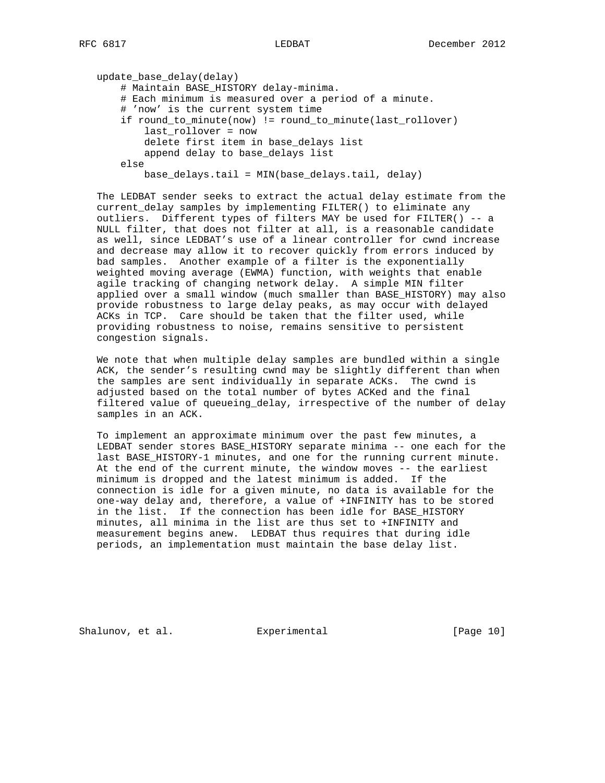```
 update_base_delay(delay)
# Maintain BASE_HISTORY delay-minima.
# Each minimum is measured over a period of a minute.
# 'now' is the current system time
if round_to_minute(now) != round_to_minute(last_rollover)
    last_rollover = now
    delete first item in base_delays list
    append delay to base_delays list
else
   base delays.tail = MIN(base delays.tail, delay)
```
 The LEDBAT sender seeks to extract the actual delay estimate from the current delay samples by implementing FILTER() to eliminate any outliers. Different types of filters MAY be used for FILTER() -- a NULL filter, that does not filter at all, is a reasonable candidate as well, since LEDBAT's use of a linear controller for cwnd increase and decrease may allow it to recover quickly from errors induced by bad samples. Another example of a filter is the exponentially weighted moving average (EWMA) function, with weights that enable agile tracking of changing network delay. A simple MIN filter applied over a small window (much smaller than BASE\_HISTORY) may also provide robustness to large delay peaks, as may occur with delayed ACKs in TCP. Care should be taken that the filter used, while providing robustness to noise, remains sensitive to persistent congestion signals.

 We note that when multiple delay samples are bundled within a single ACK, the sender's resulting cwnd may be slightly different than when the samples are sent individually in separate ACKs. The cwnd is adjusted based on the total number of bytes ACKed and the final filtered value of queueing\_delay, irrespective of the number of delay samples in an ACK.

 To implement an approximate minimum over the past few minutes, a LEDBAT sender stores BASE\_HISTORY separate minima -- one each for the last BASE\_HISTORY-1 minutes, and one for the running current minute. At the end of the current minute, the window moves -- the earliest minimum is dropped and the latest minimum is added. If the connection is idle for a given minute, no data is available for the one-way delay and, therefore, a value of +INFINITY has to be stored in the list. If the connection has been idle for BASE\_HISTORY minutes, all minima in the list are thus set to +INFINITY and measurement begins anew. LEDBAT thus requires that during idle periods, an implementation must maintain the base delay list.

Shalunov, et al. Experimental [Page 10]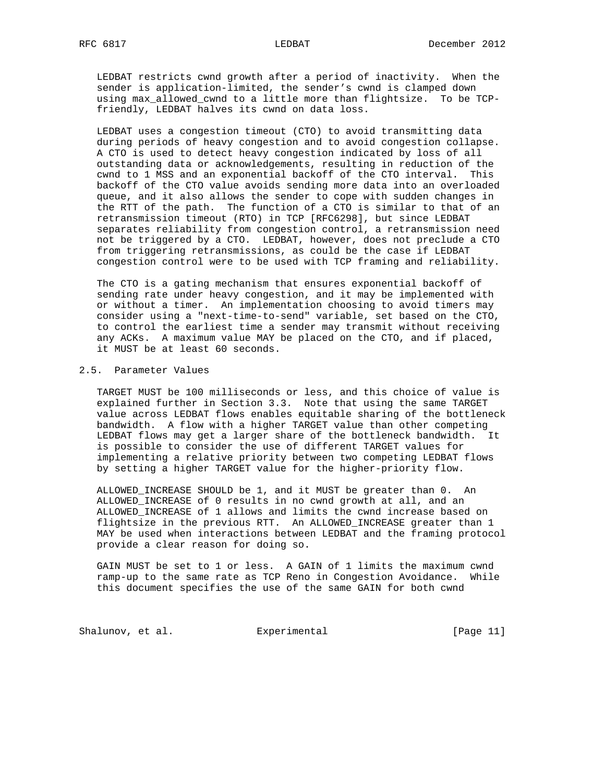LEDBAT restricts cwnd growth after a period of inactivity. When the sender is application-limited, the sender's cwnd is clamped down using max\_allowed\_cwnd to a little more than flightsize. To be TCP friendly, LEDBAT halves its cwnd on data loss.

 LEDBAT uses a congestion timeout (CTO) to avoid transmitting data during periods of heavy congestion and to avoid congestion collapse. A CTO is used to detect heavy congestion indicated by loss of all outstanding data or acknowledgements, resulting in reduction of the cwnd to 1 MSS and an exponential backoff of the CTO interval. This backoff of the CTO value avoids sending more data into an overloaded queue, and it also allows the sender to cope with sudden changes in the RTT of the path. The function of a CTO is similar to that of an retransmission timeout (RTO) in TCP [RFC6298], but since LEDBAT separates reliability from congestion control, a retransmission need not be triggered by a CTO. LEDBAT, however, does not preclude a CTO from triggering retransmissions, as could be the case if LEDBAT congestion control were to be used with TCP framing and reliability.

 The CTO is a gating mechanism that ensures exponential backoff of sending rate under heavy congestion, and it may be implemented with or without a timer. An implementation choosing to avoid timers may consider using a "next-time-to-send" variable, set based on the CTO, to control the earliest time a sender may transmit without receiving any ACKs. A maximum value MAY be placed on the CTO, and if placed, it MUST be at least 60 seconds.

#### 2.5. Parameter Values

 TARGET MUST be 100 milliseconds or less, and this choice of value is explained further in Section 3.3. Note that using the same TARGET value across LEDBAT flows enables equitable sharing of the bottleneck bandwidth. A flow with a higher TARGET value than other competing LEDBAT flows may get a larger share of the bottleneck bandwidth. It is possible to consider the use of different TARGET values for implementing a relative priority between two competing LEDBAT flows by setting a higher TARGET value for the higher-priority flow.

 ALLOWED\_INCREASE SHOULD be 1, and it MUST be greater than 0. An ALLOWED\_INCREASE of 0 results in no cwnd growth at all, and an ALLOWED\_INCREASE of 1 allows and limits the cwnd increase based on flightsize in the previous RTT. An ALLOWED\_INCREASE greater than 1 MAY be used when interactions between LEDBAT and the framing protocol provide a clear reason for doing so.

 GAIN MUST be set to 1 or less. A GAIN of 1 limits the maximum cwnd ramp-up to the same rate as TCP Reno in Congestion Avoidance. While this document specifies the use of the same GAIN for both cwnd

Shalunov, et al. Experimental Formula (Page 11)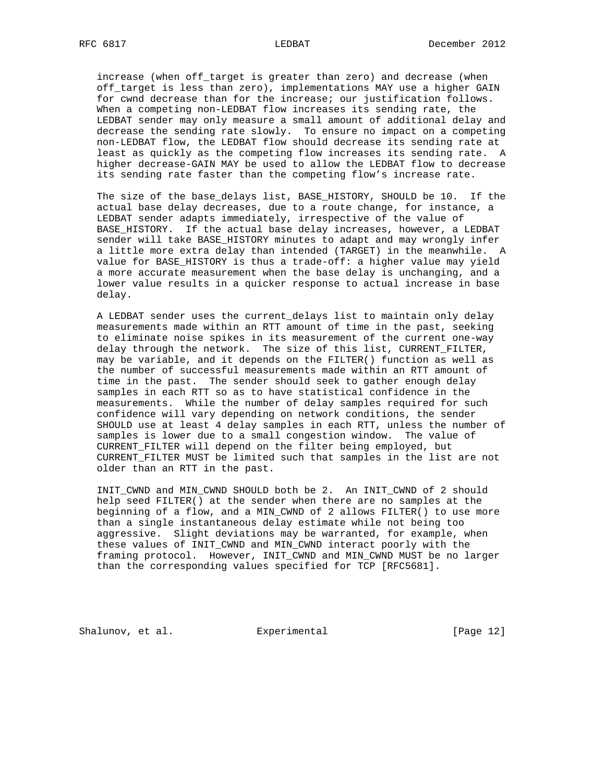increase (when off\_target is greater than zero) and decrease (when off\_target is less than zero), implementations MAY use a higher GAIN for cwnd decrease than for the increase; our justification follows. When a competing non-LEDBAT flow increases its sending rate, the LEDBAT sender may only measure a small amount of additional delay and decrease the sending rate slowly. To ensure no impact on a competing non-LEDBAT flow, the LEDBAT flow should decrease its sending rate at least as quickly as the competing flow increases its sending rate. A higher decrease-GAIN MAY be used to allow the LEDBAT flow to decrease its sending rate faster than the competing flow's increase rate.

 The size of the base\_delays list, BASE\_HISTORY, SHOULD be 10. If the actual base delay decreases, due to a route change, for instance, a LEDBAT sender adapts immediately, irrespective of the value of BASE HISTORY. If the actual base delay increases, however, a LEDBAT sender will take BASE\_HISTORY minutes to adapt and may wrongly infer a little more extra delay than intended (TARGET) in the meanwhile. A value for BASE\_HISTORY is thus a trade-off: a higher value may yield a more accurate measurement when the base delay is unchanging, and a lower value results in a quicker response to actual increase in base delay.

 A LEDBAT sender uses the current\_delays list to maintain only delay measurements made within an RTT amount of time in the past, seeking to eliminate noise spikes in its measurement of the current one-way delay through the network. The size of this list, CURRENT\_FILTER, may be variable, and it depends on the FILTER() function as well as the number of successful measurements made within an RTT amount of time in the past. The sender should seek to gather enough delay samples in each RTT so as to have statistical confidence in the measurements. While the number of delay samples required for such confidence will vary depending on network conditions, the sender SHOULD use at least 4 delay samples in each RTT, unless the number of samples is lower due to a small congestion window. The value of CURRENT\_FILTER will depend on the filter being employed, but CURRENT\_FILTER MUST be limited such that samples in the list are not older than an RTT in the past.

 INIT\_CWND and MIN\_CWND SHOULD both be 2. An INIT\_CWND of 2 should help seed FILTER() at the sender when there are no samples at the beginning of a flow, and a MIN\_CWND of 2 allows FILTER() to use more than a single instantaneous delay estimate while not being too aggressive. Slight deviations may be warranted, for example, when these values of INIT\_CWND and MIN\_CWND interact poorly with the framing protocol. However, INIT\_CWND and MIN\_CWND MUST be no larger than the corresponding values specified for TCP [RFC5681].

Shalunov, et al. Experimental [Page 12]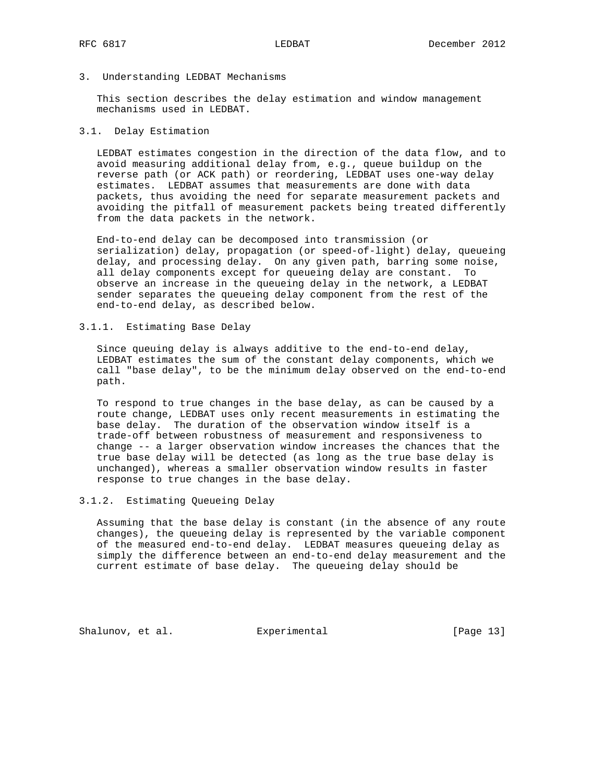# 3. Understanding LEDBAT Mechanisms

 This section describes the delay estimation and window management mechanisms used in LEDBAT.

### 3.1. Delay Estimation

 LEDBAT estimates congestion in the direction of the data flow, and to avoid measuring additional delay from, e.g., queue buildup on the reverse path (or ACK path) or reordering, LEDBAT uses one-way delay estimates. LEDBAT assumes that measurements are done with data packets, thus avoiding the need for separate measurement packets and avoiding the pitfall of measurement packets being treated differently from the data packets in the network.

 End-to-end delay can be decomposed into transmission (or serialization) delay, propagation (or speed-of-light) delay, queueing delay, and processing delay. On any given path, barring some noise, all delay components except for queueing delay are constant. To observe an increase in the queueing delay in the network, a LEDBAT sender separates the queueing delay component from the rest of the end-to-end delay, as described below.

# 3.1.1. Estimating Base Delay

 Since queuing delay is always additive to the end-to-end delay, LEDBAT estimates the sum of the constant delay components, which we call "base delay", to be the minimum delay observed on the end-to-end path.

 To respond to true changes in the base delay, as can be caused by a route change, LEDBAT uses only recent measurements in estimating the base delay. The duration of the observation window itself is a trade-off between robustness of measurement and responsiveness to change -- a larger observation window increases the chances that the true base delay will be detected (as long as the true base delay is unchanged), whereas a smaller observation window results in faster response to true changes in the base delay.

# 3.1.2. Estimating Queueing Delay

 Assuming that the base delay is constant (in the absence of any route changes), the queueing delay is represented by the variable component of the measured end-to-end delay. LEDBAT measures queueing delay as simply the difference between an end-to-end delay measurement and the current estimate of base delay. The queueing delay should be

Shalunov, et al. Experimental [Page 13]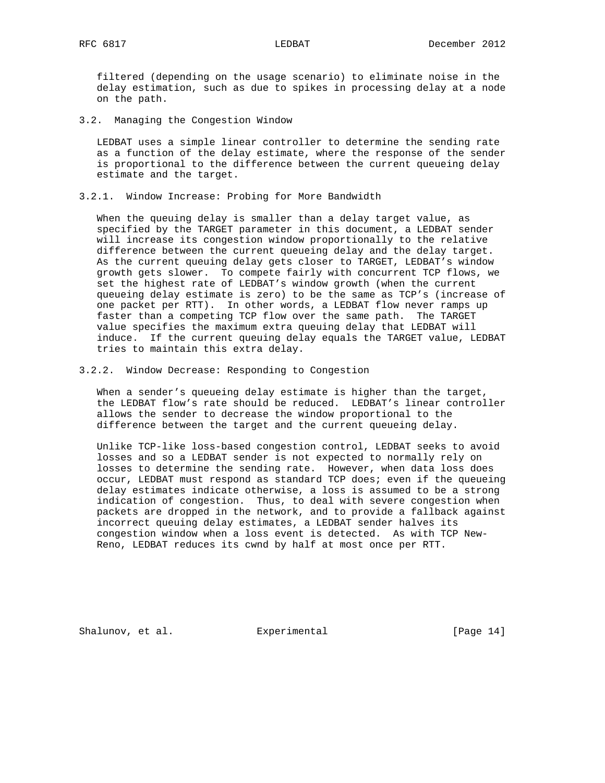filtered (depending on the usage scenario) to eliminate noise in the delay estimation, such as due to spikes in processing delay at a node on the path.

3.2. Managing the Congestion Window

 LEDBAT uses a simple linear controller to determine the sending rate as a function of the delay estimate, where the response of the sender is proportional to the difference between the current queueing delay estimate and the target.

3.2.1. Window Increase: Probing for More Bandwidth

 When the queuing delay is smaller than a delay target value, as specified by the TARGET parameter in this document, a LEDBAT sender will increase its congestion window proportionally to the relative difference between the current queueing delay and the delay target. As the current queuing delay gets closer to TARGET, LEDBAT's window growth gets slower. To compete fairly with concurrent TCP flows, we set the highest rate of LEDBAT's window growth (when the current queueing delay estimate is zero) to be the same as TCP's (increase of one packet per RTT). In other words, a LEDBAT flow never ramps up faster than a competing TCP flow over the same path. The TARGET value specifies the maximum extra queuing delay that LEDBAT will induce. If the current queuing delay equals the TARGET value, LEDBAT tries to maintain this extra delay.

3.2.2. Window Decrease: Responding to Congestion

 When a sender's queueing delay estimate is higher than the target, the LEDBAT flow's rate should be reduced. LEDBAT's linear controller allows the sender to decrease the window proportional to the difference between the target and the current queueing delay.

 Unlike TCP-like loss-based congestion control, LEDBAT seeks to avoid losses and so a LEDBAT sender is not expected to normally rely on losses to determine the sending rate. However, when data loss does occur, LEDBAT must respond as standard TCP does; even if the queueing delay estimates indicate otherwise, a loss is assumed to be a strong indication of congestion. Thus, to deal with severe congestion when packets are dropped in the network, and to provide a fallback against incorrect queuing delay estimates, a LEDBAT sender halves its congestion window when a loss event is detected. As with TCP New- Reno, LEDBAT reduces its cwnd by half at most once per RTT.

Shalunov, et al. **Experimental** [Page 14]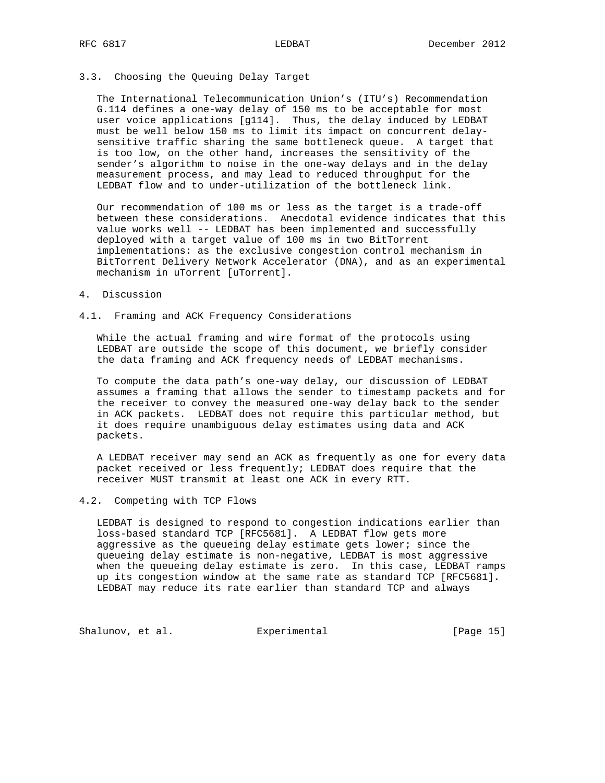# 3.3. Choosing the Queuing Delay Target

 The International Telecommunication Union's (ITU's) Recommendation G.114 defines a one-way delay of 150 ms to be acceptable for most user voice applications [g114]. Thus, the delay induced by LEDBAT must be well below 150 ms to limit its impact on concurrent delay sensitive traffic sharing the same bottleneck queue. A target that is too low, on the other hand, increases the sensitivity of the sender's algorithm to noise in the one-way delays and in the delay measurement process, and may lead to reduced throughput for the LEDBAT flow and to under-utilization of the bottleneck link.

 Our recommendation of 100 ms or less as the target is a trade-off between these considerations. Anecdotal evidence indicates that this value works well -- LEDBAT has been implemented and successfully deployed with a target value of 100 ms in two BitTorrent implementations: as the exclusive congestion control mechanism in BitTorrent Delivery Network Accelerator (DNA), and as an experimental mechanism in uTorrent [uTorrent].

#### 4. Discussion

### 4.1. Framing and ACK Frequency Considerations

 While the actual framing and wire format of the protocols using LEDBAT are outside the scope of this document, we briefly consider the data framing and ACK frequency needs of LEDBAT mechanisms.

 To compute the data path's one-way delay, our discussion of LEDBAT assumes a framing that allows the sender to timestamp packets and for the receiver to convey the measured one-way delay back to the sender in ACK packets. LEDBAT does not require this particular method, but it does require unambiguous delay estimates using data and ACK packets.

 A LEDBAT receiver may send an ACK as frequently as one for every data packet received or less frequently; LEDBAT does require that the receiver MUST transmit at least one ACK in every RTT.

# 4.2. Competing with TCP Flows

 LEDBAT is designed to respond to congestion indications earlier than loss-based standard TCP [RFC5681]. A LEDBAT flow gets more aggressive as the queueing delay estimate gets lower; since the queueing delay estimate is non-negative, LEDBAT is most aggressive when the queueing delay estimate is zero. In this case, LEDBAT ramps up its congestion window at the same rate as standard TCP [RFC5681]. LEDBAT may reduce its rate earlier than standard TCP and always

Shalunov, et al. Experimental Formula (Page 15)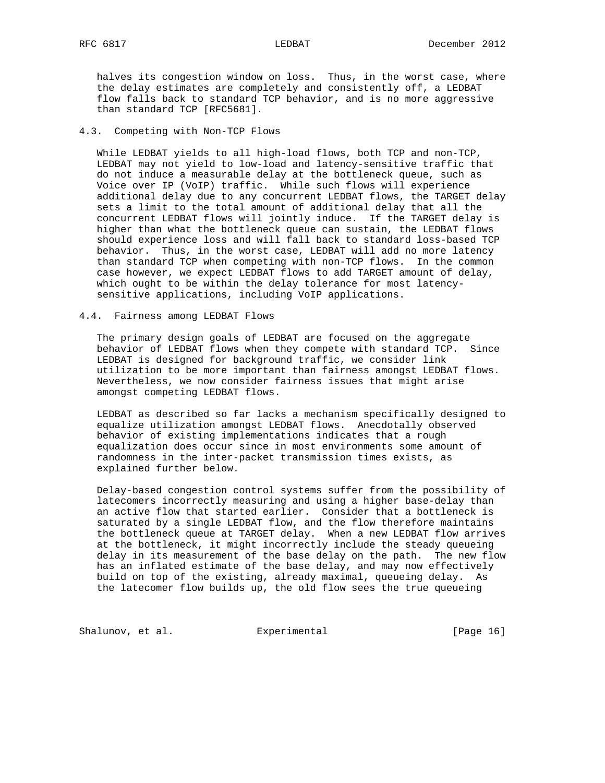halves its congestion window on loss. Thus, in the worst case, where the delay estimates are completely and consistently off, a LEDBAT flow falls back to standard TCP behavior, and is no more aggressive than standard TCP [RFC5681].

# 4.3. Competing with Non-TCP Flows

 While LEDBAT yields to all high-load flows, both TCP and non-TCP, LEDBAT may not yield to low-load and latency-sensitive traffic that do not induce a measurable delay at the bottleneck queue, such as Voice over IP (VoIP) traffic. While such flows will experience additional delay due to any concurrent LEDBAT flows, the TARGET delay sets a limit to the total amount of additional delay that all the concurrent LEDBAT flows will jointly induce. If the TARGET delay is higher than what the bottleneck queue can sustain, the LEDBAT flows should experience loss and will fall back to standard loss-based TCP behavior. Thus, in the worst case, LEDBAT will add no more latency than standard TCP when competing with non-TCP flows. In the common case however, we expect LEDBAT flows to add TARGET amount of delay, which ought to be within the delay tolerance for most latency sensitive applications, including VoIP applications.

### 4.4. Fairness among LEDBAT Flows

 The primary design goals of LEDBAT are focused on the aggregate behavior of LEDBAT flows when they compete with standard TCP. Since LEDBAT is designed for background traffic, we consider link utilization to be more important than fairness amongst LEDBAT flows. Nevertheless, we now consider fairness issues that might arise amongst competing LEDBAT flows.

 LEDBAT as described so far lacks a mechanism specifically designed to equalize utilization amongst LEDBAT flows. Anecdotally observed behavior of existing implementations indicates that a rough equalization does occur since in most environments some amount of randomness in the inter-packet transmission times exists, as explained further below.

 Delay-based congestion control systems suffer from the possibility of latecomers incorrectly measuring and using a higher base-delay than an active flow that started earlier. Consider that a bottleneck is saturated by a single LEDBAT flow, and the flow therefore maintains the bottleneck queue at TARGET delay. When a new LEDBAT flow arrives at the bottleneck, it might incorrectly include the steady queueing delay in its measurement of the base delay on the path. The new flow has an inflated estimate of the base delay, and may now effectively build on top of the existing, already maximal, queueing delay. As the latecomer flow builds up, the old flow sees the true queueing

Shalunov, et al. Experimental [Page 16]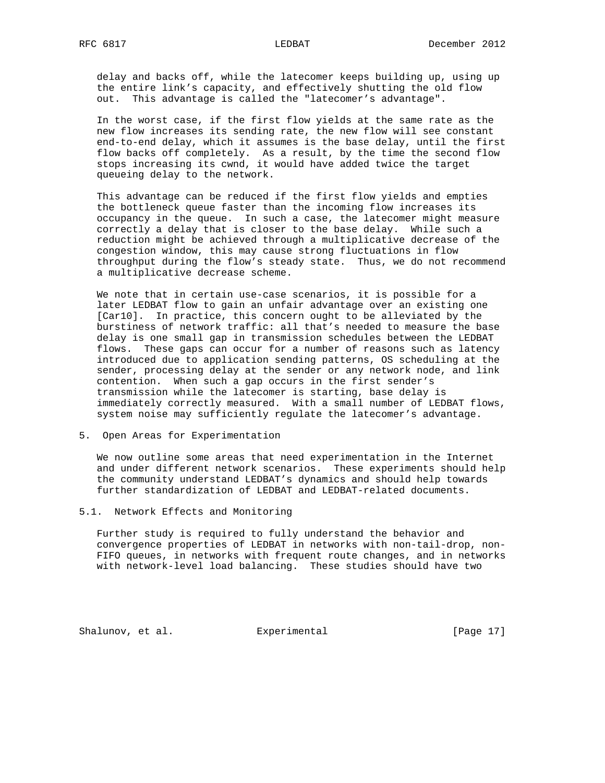delay and backs off, while the latecomer keeps building up, using up the entire link's capacity, and effectively shutting the old flow out. This advantage is called the "latecomer's advantage".

 In the worst case, if the first flow yields at the same rate as the new flow increases its sending rate, the new flow will see constant end-to-end delay, which it assumes is the base delay, until the first flow backs off completely. As a result, by the time the second flow stops increasing its cwnd, it would have added twice the target queueing delay to the network.

 This advantage can be reduced if the first flow yields and empties the bottleneck queue faster than the incoming flow increases its occupancy in the queue. In such a case, the latecomer might measure correctly a delay that is closer to the base delay. While such a reduction might be achieved through a multiplicative decrease of the congestion window, this may cause strong fluctuations in flow throughput during the flow's steady state. Thus, we do not recommend a multiplicative decrease scheme.

 We note that in certain use-case scenarios, it is possible for a later LEDBAT flow to gain an unfair advantage over an existing one [Car10]. In practice, this concern ought to be alleviated by the burstiness of network traffic: all that's needed to measure the base delay is one small gap in transmission schedules between the LEDBAT flows. These gaps can occur for a number of reasons such as latency introduced due to application sending patterns, OS scheduling at the sender, processing delay at the sender or any network node, and link contention. When such a gap occurs in the first sender's transmission while the latecomer is starting, base delay is immediately correctly measured. With a small number of LEDBAT flows, system noise may sufficiently regulate the latecomer's advantage.

5. Open Areas for Experimentation

 We now outline some areas that need experimentation in the Internet and under different network scenarios. These experiments should help the community understand LEDBAT's dynamics and should help towards further standardization of LEDBAT and LEDBAT-related documents.

5.1. Network Effects and Monitoring

 Further study is required to fully understand the behavior and convergence properties of LEDBAT in networks with non-tail-drop, non- FIFO queues, in networks with frequent route changes, and in networks with network-level load balancing. These studies should have two

Shalunov, et al. Experimental [Page 17]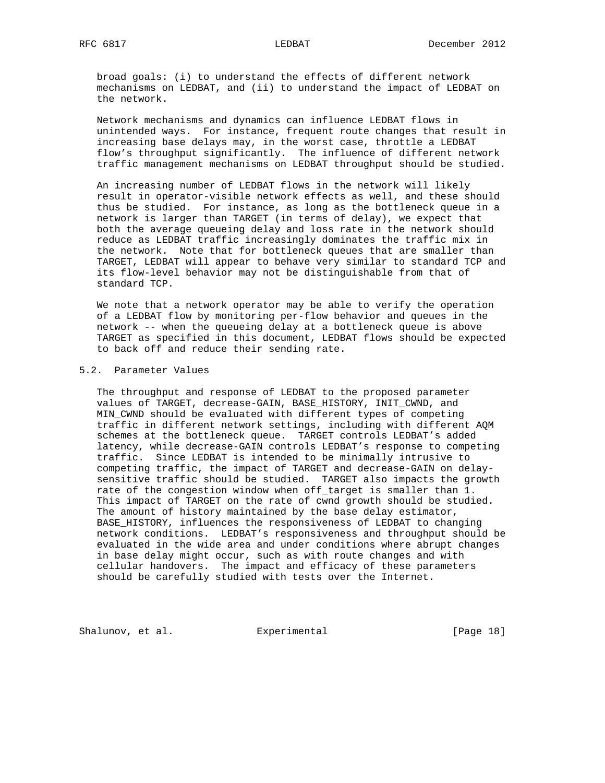broad goals: (i) to understand the effects of different network mechanisms on LEDBAT, and (ii) to understand the impact of LEDBAT on the network.

 Network mechanisms and dynamics can influence LEDBAT flows in unintended ways. For instance, frequent route changes that result in increasing base delays may, in the worst case, throttle a LEDBAT flow's throughput significantly. The influence of different network traffic management mechanisms on LEDBAT throughput should be studied.

 An increasing number of LEDBAT flows in the network will likely result in operator-visible network effects as well, and these should thus be studied. For instance, as long as the bottleneck queue in a network is larger than TARGET (in terms of delay), we expect that both the average queueing delay and loss rate in the network should reduce as LEDBAT traffic increasingly dominates the traffic mix in the network. Note that for bottleneck queues that are smaller than TARGET, LEDBAT will appear to behave very similar to standard TCP and its flow-level behavior may not be distinguishable from that of standard TCP.

 We note that a network operator may be able to verify the operation of a LEDBAT flow by monitoring per-flow behavior and queues in the network -- when the queueing delay at a bottleneck queue is above TARGET as specified in this document, LEDBAT flows should be expected to back off and reduce their sending rate.

### 5.2. Parameter Values

 The throughput and response of LEDBAT to the proposed parameter values of TARGET, decrease-GAIN, BASE\_HISTORY, INIT\_CWND, and MIN\_CWND should be evaluated with different types of competing traffic in different network settings, including with different AQM schemes at the bottleneck queue. TARGET controls LEDBAT's added latency, while decrease-GAIN controls LEDBAT's response to competing traffic. Since LEDBAT is intended to be minimally intrusive to competing traffic, the impact of TARGET and decrease-GAIN on delay sensitive traffic should be studied. TARGET also impacts the growth rate of the congestion window when off\_target is smaller than 1. This impact of TARGET on the rate of cwnd growth should be studied. The amount of history maintained by the base delay estimator, BASE\_HISTORY, influences the responsiveness of LEDBAT to changing network conditions. LEDBAT's responsiveness and throughput should be evaluated in the wide area and under conditions where abrupt changes in base delay might occur, such as with route changes and with cellular handovers. The impact and efficacy of these parameters should be carefully studied with tests over the Internet.

Shalunov, et al. Experimental Formula (Page 18)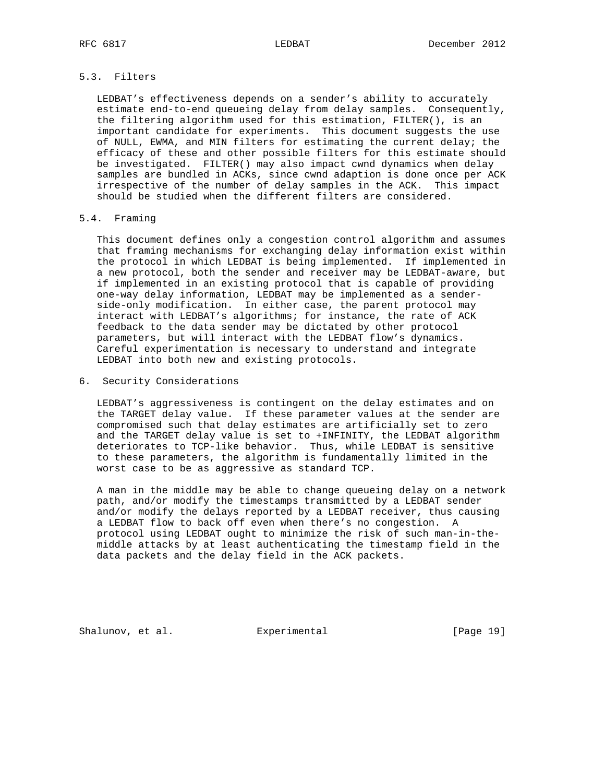# 5.3. Filters

 LEDBAT's effectiveness depends on a sender's ability to accurately estimate end-to-end queueing delay from delay samples. Consequently, the filtering algorithm used for this estimation, FILTER(), is an important candidate for experiments. This document suggests the use of NULL, EWMA, and MIN filters for estimating the current delay; the efficacy of these and other possible filters for this estimate should be investigated. FILTER() may also impact cwnd dynamics when delay samples are bundled in ACKs, since cwnd adaption is done once per ACK irrespective of the number of delay samples in the ACK. This impact should be studied when the different filters are considered.

# 5.4. Framing

 This document defines only a congestion control algorithm and assumes that framing mechanisms for exchanging delay information exist within the protocol in which LEDBAT is being implemented. If implemented in a new protocol, both the sender and receiver may be LEDBAT-aware, but if implemented in an existing protocol that is capable of providing one-way delay information, LEDBAT may be implemented as a sender side-only modification. In either case, the parent protocol may interact with LEDBAT's algorithms; for instance, the rate of ACK feedback to the data sender may be dictated by other protocol parameters, but will interact with the LEDBAT flow's dynamics. Careful experimentation is necessary to understand and integrate LEDBAT into both new and existing protocols.

6. Security Considerations

 LEDBAT's aggressiveness is contingent on the delay estimates and on the TARGET delay value. If these parameter values at the sender are compromised such that delay estimates are artificially set to zero and the TARGET delay value is set to +INFINITY, the LEDBAT algorithm deteriorates to TCP-like behavior. Thus, while LEDBAT is sensitive to these parameters, the algorithm is fundamentally limited in the worst case to be as aggressive as standard TCP.

 A man in the middle may be able to change queueing delay on a network path, and/or modify the timestamps transmitted by a LEDBAT sender and/or modify the delays reported by a LEDBAT receiver, thus causing a LEDBAT flow to back off even when there's no congestion. A protocol using LEDBAT ought to minimize the risk of such man-in-the middle attacks by at least authenticating the timestamp field in the data packets and the delay field in the ACK packets.

Shalunov, et al. **Experimental** [Page 19]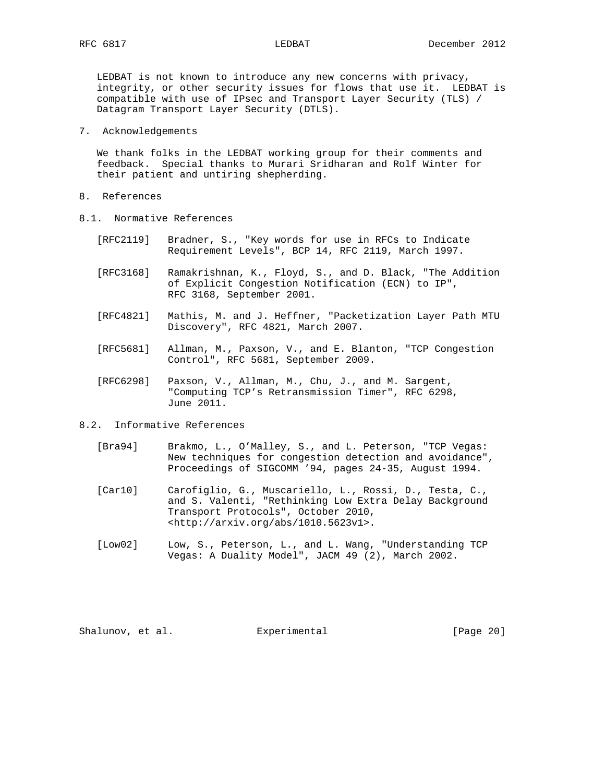LEDBAT is not known to introduce any new concerns with privacy, integrity, or other security issues for flows that use it. LEDBAT is compatible with use of IPsec and Transport Layer Security (TLS) / Datagram Transport Layer Security (DTLS).

7. Acknowledgements

 We thank folks in the LEDBAT working group for their comments and feedback. Special thanks to Murari Sridharan and Rolf Winter for their patient and untiring shepherding.

- 8. References
- 8.1. Normative References
	- [RFC2119] Bradner, S., "Key words for use in RFCs to Indicate Requirement Levels", BCP 14, RFC 2119, March 1997.
	- [RFC3168] Ramakrishnan, K., Floyd, S., and D. Black, "The Addition of Explicit Congestion Notification (ECN) to IP", RFC 3168, September 2001.
	- [RFC4821] Mathis, M. and J. Heffner, "Packetization Layer Path MTU Discovery", RFC 4821, March 2007.
	- [RFC5681] Allman, M., Paxson, V., and E. Blanton, "TCP Congestion Control", RFC 5681, September 2009.
	- [RFC6298] Paxson, V., Allman, M., Chu, J., and M. Sargent, "Computing TCP's Retransmission Timer", RFC 6298, June 2011.
- 8.2. Informative References
	- [Bra94] Brakmo, L., O'Malley, S., and L. Peterson, "TCP Vegas: New techniques for congestion detection and avoidance", Proceedings of SIGCOMM '94, pages 24-35, August 1994.
	- [Car10] Carofiglio, G., Muscariello, L., Rossi, D., Testa, C., and S. Valenti, "Rethinking Low Extra Delay Background Transport Protocols", October 2010, <http://arxiv.org/abs/1010.5623v1>.
	- [Low02] Low, S., Peterson, L., and L. Wang, "Understanding TCP Vegas: A Duality Model", JACM 49 (2), March 2002.

Shalunov, et al. **Experimental** [Page 20]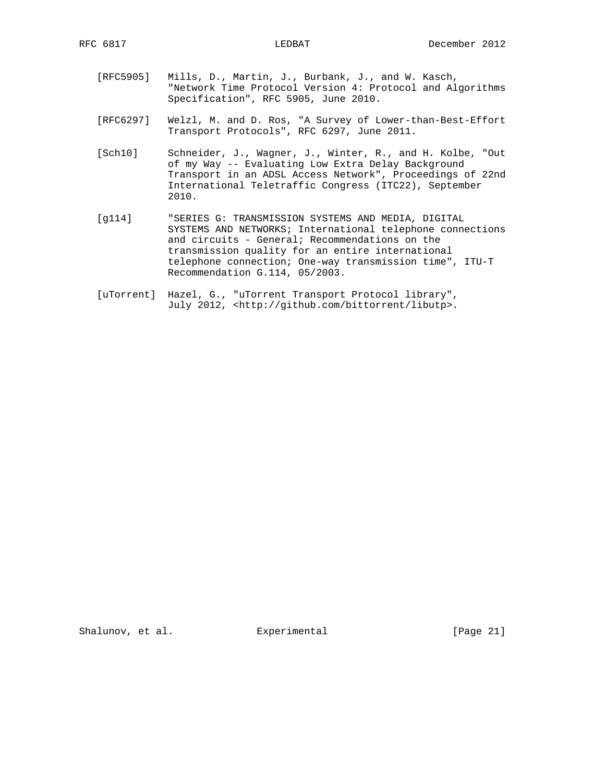- [RFC5905] Mills, D., Martin, J., Burbank, J., and W. Kasch, "Network Time Protocol Version 4: Protocol and Algorithms Specification", RFC 5905, June 2010.
- [RFC6297] Welzl, M. and D. Ros, "A Survey of Lower-than-Best-Effort Transport Protocols", RFC 6297, June 2011.
- [Sch10] Schneider, J., Wagner, J., Winter, R., and H. Kolbe, "Out of my Way -- Evaluating Low Extra Delay Background Transport in an ADSL Access Network", Proceedings of 22nd International Teletraffic Congress (ITC22), September 2010.
- [g114] "SERIES G: TRANSMISSION SYSTEMS AND MEDIA, DIGITAL SYSTEMS AND NETWORKS; International telephone connections and circuits - General; Recommendations on the transmission quality for an entire international telephone connection; One-way transmission time", ITU-T Recommendation G.114, 05/2003.
- [uTorrent] Hazel, G., "uTorrent Transport Protocol library", July 2012, <http://github.com/bittorrent/libutp>.

Shalunov, et al. Experimental [Page 21]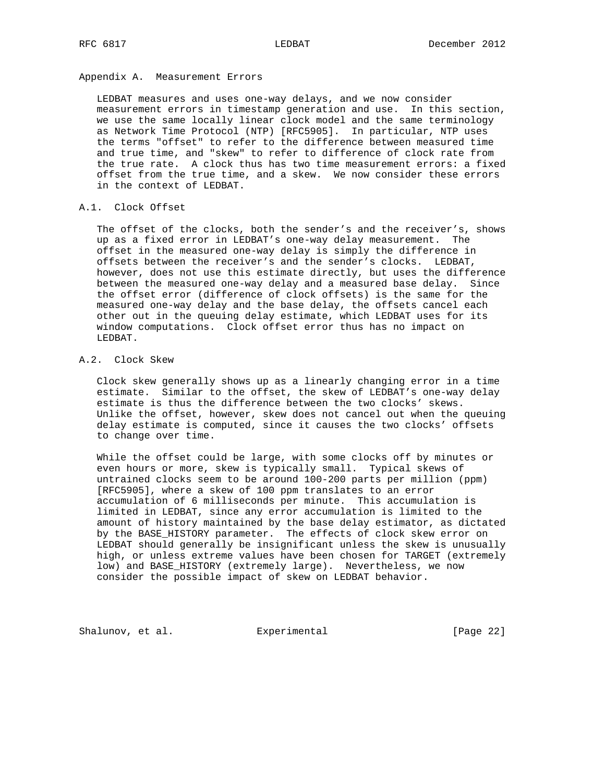# Appendix A. Measurement Errors

 LEDBAT measures and uses one-way delays, and we now consider measurement errors in timestamp generation and use. In this section, we use the same locally linear clock model and the same terminology as Network Time Protocol (NTP) [RFC5905]. In particular, NTP uses the terms "offset" to refer to the difference between measured time and true time, and "skew" to refer to difference of clock rate from the true rate. A clock thus has two time measurement errors: a fixed offset from the true time, and a skew. We now consider these errors in the context of LEDBAT.

### A.1. Clock Offset

 The offset of the clocks, both the sender's and the receiver's, shows up as a fixed error in LEDBAT's one-way delay measurement. The offset in the measured one-way delay is simply the difference in offsets between the receiver's and the sender's clocks. LEDBAT, however, does not use this estimate directly, but uses the difference between the measured one-way delay and a measured base delay. Since the offset error (difference of clock offsets) is the same for the measured one-way delay and the base delay, the offsets cancel each other out in the queuing delay estimate, which LEDBAT uses for its window computations. Clock offset error thus has no impact on LEDBAT.

# A.2. Clock Skew

 Clock skew generally shows up as a linearly changing error in a time estimate. Similar to the offset, the skew of LEDBAT's one-way delay estimate is thus the difference between the two clocks' skews. Unlike the offset, however, skew does not cancel out when the queuing delay estimate is computed, since it causes the two clocks' offsets to change over time.

 While the offset could be large, with some clocks off by minutes or even hours or more, skew is typically small. Typical skews of untrained clocks seem to be around 100-200 parts per million (ppm) [RFC5905], where a skew of 100 ppm translates to an error accumulation of 6 milliseconds per minute. This accumulation is limited in LEDBAT, since any error accumulation is limited to the amount of history maintained by the base delay estimator, as dictated by the BASE\_HISTORY parameter. The effects of clock skew error on LEDBAT should generally be insignificant unless the skew is unusually high, or unless extreme values have been chosen for TARGET (extremely low) and BASE\_HISTORY (extremely large). Nevertheless, we now consider the possible impact of skew on LEDBAT behavior.

Shalunov, et al. Experimental [Page 22]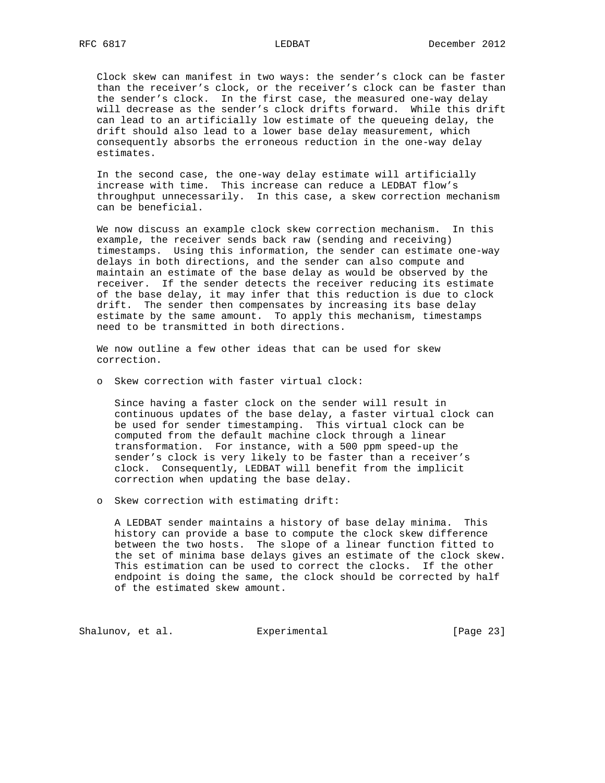Clock skew can manifest in two ways: the sender's clock can be faster than the receiver's clock, or the receiver's clock can be faster than the sender's clock. In the first case, the measured one-way delay will decrease as the sender's clock drifts forward. While this drift can lead to an artificially low estimate of the queueing delay, the drift should also lead to a lower base delay measurement, which consequently absorbs the erroneous reduction in the one-way delay estimates.

 In the second case, the one-way delay estimate will artificially increase with time. This increase can reduce a LEDBAT flow's throughput unnecessarily. In this case, a skew correction mechanism can be beneficial.

 We now discuss an example clock skew correction mechanism. In this example, the receiver sends back raw (sending and receiving) timestamps. Using this information, the sender can estimate one-way delays in both directions, and the sender can also compute and maintain an estimate of the base delay as would be observed by the receiver. If the sender detects the receiver reducing its estimate of the base delay, it may infer that this reduction is due to clock drift. The sender then compensates by increasing its base delay estimate by the same amount. To apply this mechanism, timestamps need to be transmitted in both directions.

 We now outline a few other ideas that can be used for skew correction.

o Skew correction with faster virtual clock:

 Since having a faster clock on the sender will result in continuous updates of the base delay, a faster virtual clock can be used for sender timestamping. This virtual clock can be computed from the default machine clock through a linear transformation. For instance, with a 500 ppm speed-up the sender's clock is very likely to be faster than a receiver's clock. Consequently, LEDBAT will benefit from the implicit correction when updating the base delay.

o Skew correction with estimating drift:

 A LEDBAT sender maintains a history of base delay minima. This history can provide a base to compute the clock skew difference between the two hosts. The slope of a linear function fitted to the set of minima base delays gives an estimate of the clock skew. This estimation can be used to correct the clocks. If the other endpoint is doing the same, the clock should be corrected by half of the estimated skew amount.

Shalunov, et al. Experimental [Page 23]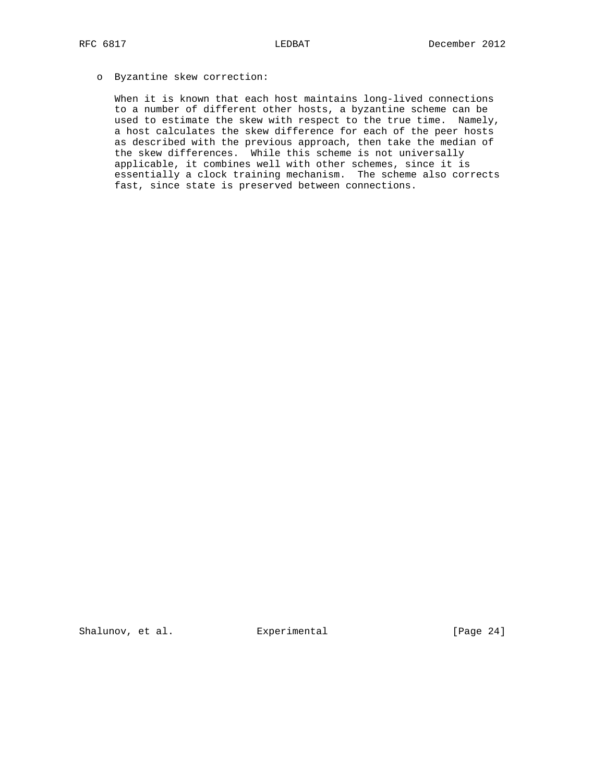# o Byzantine skew correction:

 When it is known that each host maintains long-lived connections to a number of different other hosts, a byzantine scheme can be used to estimate the skew with respect to the true time. Namely, a host calculates the skew difference for each of the peer hosts as described with the previous approach, then take the median of the skew differences. While this scheme is not universally applicable, it combines well with other schemes, since it is essentially a clock training mechanism. The scheme also corrects fast, since state is preserved between connections.